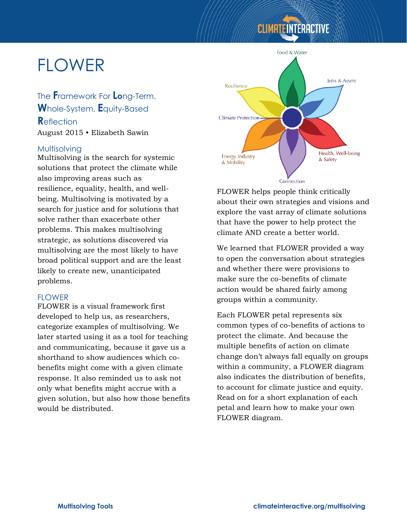#### **CLIMATE INTERACTIVE**

# FLOWER

The **F**ramework For **Lo**ng-Term, **W**hole-System, **E**quity-Based **R**eflection August 2015 • Elizabeth Sawin

#### **Multisolving**

Multisolving is the search for systemic solutions that protect the climate while also improving areas such as resilience, equality, health, and wellbeing. Multisolving is motivated by a search for justice and for solutions that solve rather than exacerbate other problems. This makes multisolving strategic, as solutions discovered via multisolving are the most likely to have broad political support and are the least likely to create new, unanticipated problems.

#### **FLOWER**

FLOWER is a visual framework first developed to help us, as researchers, categorize examples of multisolving. We later started using it as a tool for teaching and communicating, because it gave us a shorthand to show audiences which cobenefits might come with a given climate response. It also reminded us to ask not only what benefits might accrue with a given solution, but also how those benefits would be distributed.



FLOWER helps people think critically about their own strategies and visions and explore the vast array of climate solutions that have the power to help protect the climate AND create a better world.

We learned that FLOWER provided a way to open the conversation about strategies and whether there were provisions to make sure the co-benefits of climate action would be shared fairly among groups within a community.

Each FLOWER petal represents six common types of co-benefits of actions to protect the climate. And because the multiple benefits of action on climate change don't always fall equally on groups within a community, a FLOWER diagram also indicates the distribution of benefits, to account for climate justice and equity. Read on for a short explanation of each petal and learn how to make your own FLOWER diagram.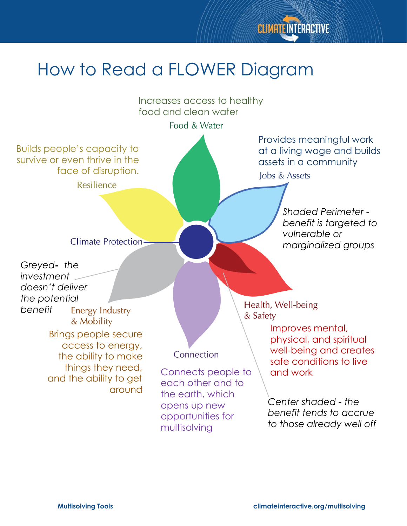

## How to Read a FLOWER Diagram

Increases access to healthy food and clean water

Food & Water

Builds people's capacity to survive or even thrive in the face of disruption. Resilience

Provides meaningful work at a living wage and builds assets in a community Jobs & Assets

**Climate Protection-**

*Greyed- the investment doesn't deliver the potential benefit***Energy Industry** & Mobility Brings people secure access to energy,

> the ability to make things they need, and the ability to get around

#### Connection

Connects people to  $\setminus$  and work each other and to the earth, which opens up new opportunities for multisolving

*Shaded Perimeter benefit is targeted to vulnerable or marginalized groups*

Health, Well-being & Safety

> Improves mental, physical, and spiritual well-being and creates safe conditions to live

*Center shaded - the benefit tends to accrue to those already well off*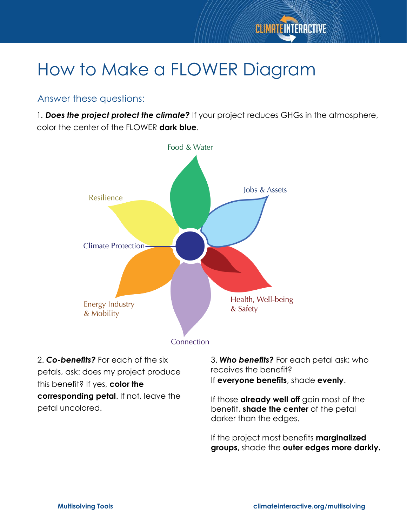

## How to Make a FLOWER Diagram

#### Answer these questions:

1*. Does the project protect the climate?* If your project reduces GHGs in the atmosphere, color the center of the FLOWER **dark blue**.



2. *Co-benefits?* For each of the six petals, ask: does my project produce this benefit? If yes, **color the corresponding petal**. If not, leave the petal uncolored.

3. *Who benefits?* For each petal ask: who receives the benefit? If **everyone benefits**, shade **evenly**.

If those **already well off** gain most of the benefit, **shade the center** of the petal darker than the edges.

If the project most benefits **marginalized groups,** shade the **outer edges more darkly.**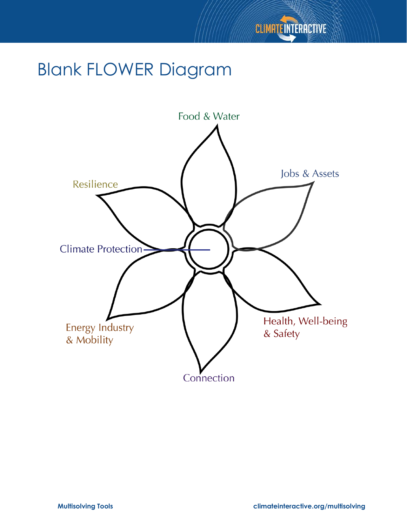

### Blank FLOWER Diagram

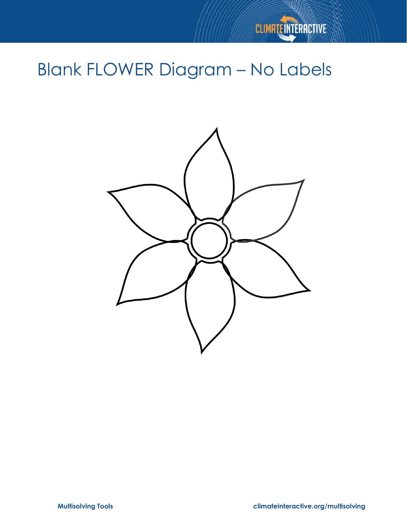

# Blank FLOWER Diagram – No Labels